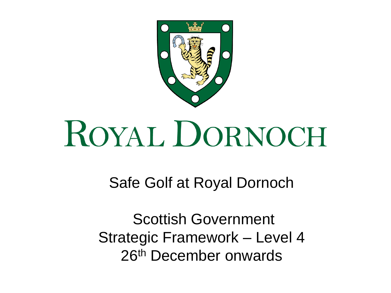

# ROYAL DORNOCH

Safe Golf at Royal Dornoch

Scottish Government Strategic Framework – Level 4 26th December onwards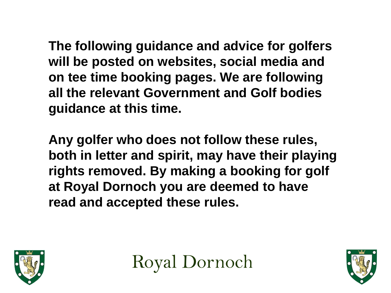**The following guidance and advice for golfers will be posted on websites, social media and on tee time booking pages. We are following all the relevant Government and Golf bodies guidance at this time.**

**Any golfer who does not follow these rules, both in letter and spirit, may have their playing rights removed. By making a booking for golf at Royal Dornoch you are deemed to have read and accepted these rules.**



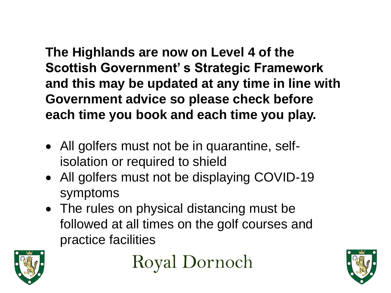**The Highlands are now on Level 4 of the Scottish Government' s Strategic Framework and this may be updated at any time in line with Government advice so please check before each time you book and each time you play.**

- All golfers must not be in quarantine, selfisolation or required to shield
- All golfers must not be displaying COVID-19 symptoms
- The rules on physical distancing must be followed at all times on the golf courses and practice facilities



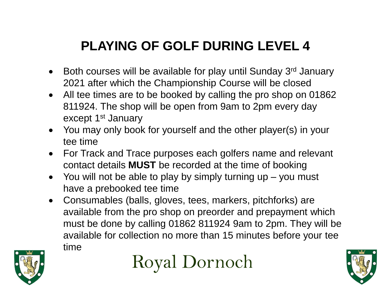# **PLAYING OF GOLF DURING LEVEL 4**

- $\bullet$  Both courses will be available for play until Sunday 3<sup>rd</sup> January 2021 after which the Championship Course will be closed
- All tee times are to be booked by calling the pro shop on 01862 811924. The shop will be open from 9am to 2pm every day except 1<sup>st</sup> January
- You may only book for yourself and the other player(s) in your tee time
- For Track and Trace purposes each golfers name and relevant contact details **MUST** be recorded at the time of booking
- $\bullet$  You will not be able to play by simply turning up you must have a prebooked tee time
- Consumables (balls, gloves, tees, markers, pitchforks) are available from the pro shop on preorder and prepayment which must be done by calling 01862 811924 9am to 2pm. They will be available for collection no more than 15 minutes before your tee time





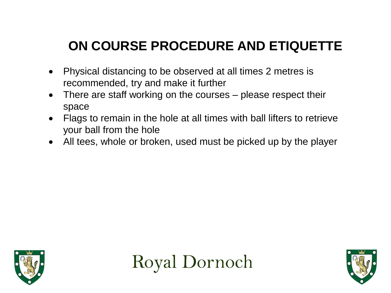## **ON COURSE PROCEDURE AND ETIQUETTE**

- Physical distancing to be observed at all times 2 metres is recommended, try and make it further
- There are staff working on the courses please respect their space
- Flags to remain in the hole at all times with ball lifters to retrieve your ball from the hole
- All tees, whole or broken, used must be picked up by the player





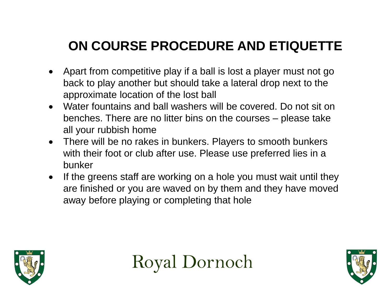# **ON COURSE PROCEDURE AND ETIQUETTE**

- Apart from competitive play if a ball is lost a player must not go back to play another but should take a lateral drop next to the approximate location of the lost ball
- Water fountains and ball washers will be covered. Do not sit on benches. There are no litter bins on the courses – please take all your rubbish home
- There will be no rakes in bunkers. Players to smooth bunkers with their foot or club after use. Please use preferred lies in a bunker
- If the greens staff are working on a hole you must wait until they are finished or you are waved on by them and they have moved away before playing or completing that hole



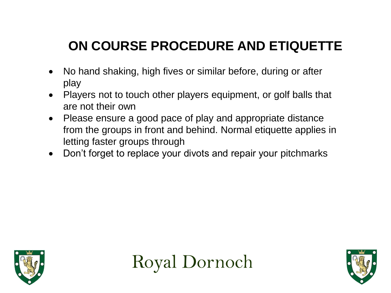# **ON COURSE PROCEDURE AND ETIQUETTE**

- No hand shaking, high fives or similar before, during or after play
- Players not to touch other players equipment, or golf balls that are not their own
- Please ensure a good pace of play and appropriate distance from the groups in front and behind. Normal etiquette applies in letting faster groups through
- Don't forget to replace your divots and repair your pitchmarks





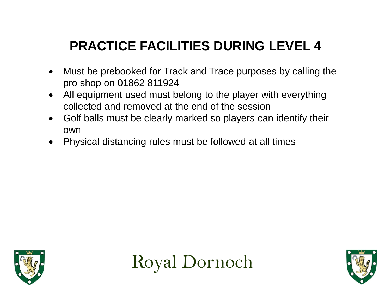- Must be prebooked for Track and Trace purposes by calling the pro shop on 01862 811924
- All equipment used must belong to the player with everything collected and removed at the end of the session
- Golf balls must be clearly marked so players can identify their own
- Physical distancing rules must be followed at all times





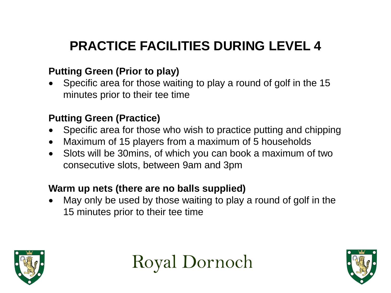#### **Putting Green (Prior to play)**

 Specific area for those waiting to play a round of golf in the 15 minutes prior to their tee time

### **Putting Green (Practice)**

- Specific area for those who wish to practice putting and chipping
- Maximum of 15 players from a maximum of 5 households
- Slots will be 30mins, of which you can book a maximum of two consecutive slots, between 9am and 3pm

#### **Warm up nets (there are no balls supplied)**

 May only be used by those waiting to play a round of golf in the 15 minutes prior to their tee time



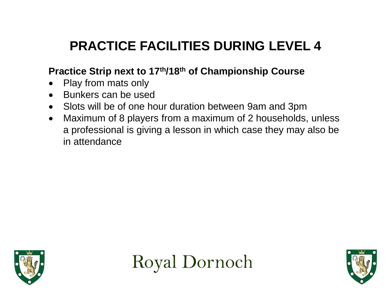## **Practice Strip next to 17th/18th of Championship Course**

- Play from mats only
- Bunkers can be used
- Slots will be of one hour duration between 9am and 3pm
- Maximum of 8 players from a maximum of 2 households, unless a professional is giving a lesson in which case they may also be in attendance





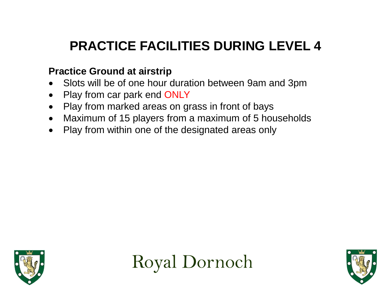### **Practice Ground at airstrip**

- Slots will be of one hour duration between 9am and 3pm
- Play from car park end ONLY
- Play from marked areas on grass in front of bays
- Maximum of 15 players from a maximum of 5 households
- Play from within one of the designated areas only





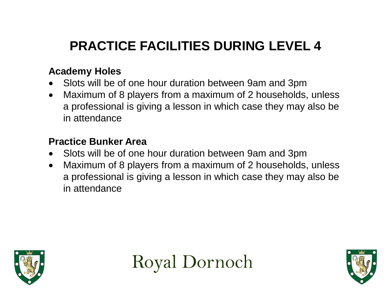#### **Academy Holes**

- Slots will be of one hour duration between 9am and 3pm
- Maximum of 8 players from a maximum of 2 households, unless a professional is giving a lesson in which case they may also be in attendance

#### **Practice Bunker Area**

- Slots will be of one hour duration between 9am and 3pm
- Maximum of 8 players from a maximum of 2 households, unless a professional is giving a lesson in which case they may also be in attendance